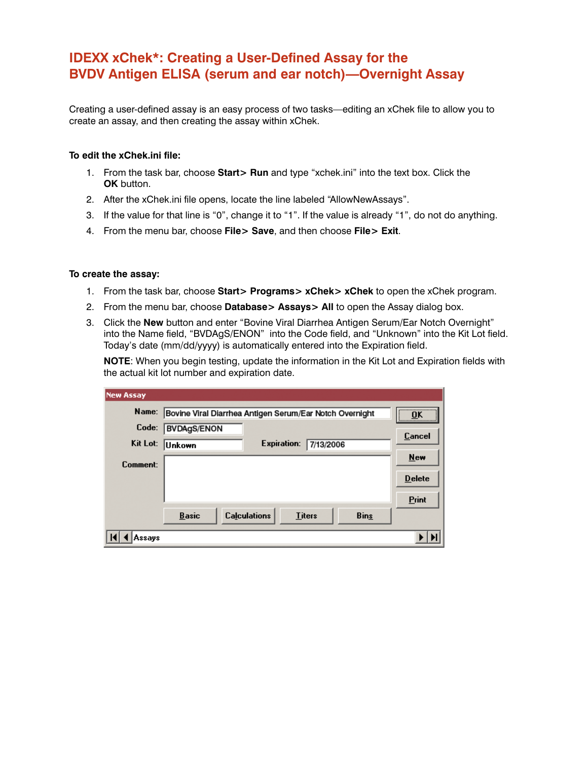## **IDEXX xChek\*: Creating a User-Defined Assay for the BVDV Antigen ELISA (serum and ear notch)—Overnight Assay**

Creating a user-defined assay is an easy process of two tasks—editing an xChek file to allow you to create an assay, and then creating the assay within xChek.

## **To edit the xChek.ini file:**

- 1. From the task bar, choose **Start> Run** and type "xchek.ini" into the text box. Click the **OK** button.
- 2. After the xChek.ini file opens, locate the line labeled "AllowNewAssays".
- 3. If the value for that line is "0", change it to "1". If the value is already "1", do not do anything.
- 4. From the menu bar, choose **File> Save**, and then choose **File> Exit**.

## **To create the assay:**

- 1. From the task bar, choose **Start> Programs> xChek> xChek** to open the xChek program.
- 2. From the menu bar, choose **Database> Assays> All** to open the Assay dialog box.
- 3. Click the **New** button and enter "Bovine Viral Diarrhea Antigen Serum/Ear Notch Overnight" into the Name field, "BVDAgS/ENON" into the Code field, and "Unknown" into the Kit Lot field. Today's date (mm/dd/yyyy) is automatically entered into the Expiration field.

**NOTE:** When you begin testing, update the information in the Kit Lot and Expiration fields with the actual kit lot number and expiration date.

| <b>New Assay</b> |                                                                     |  |  |  |  |
|------------------|---------------------------------------------------------------------|--|--|--|--|
| Name:            | <br>Bovine Viral Diarrhea Antigen Serum/Ear Notch Overnight<br>пĸ   |  |  |  |  |
| Code:            | <br><b>BVDAgS/ENON</b>                                              |  |  |  |  |
| Kit Lot:         | Cancel<br>Expiration:<br>7/13/2006<br><b>Unkown</b>                 |  |  |  |  |
| Comment:         | <b>New</b>                                                          |  |  |  |  |
|                  | <b>Delete</b>                                                       |  |  |  |  |
|                  | <b>Print</b>                                                        |  |  |  |  |
|                  | <b>Calculations</b><br><b>Basic</b><br><b>Bins</b><br><b>Titers</b> |  |  |  |  |
| Assavs           |                                                                     |  |  |  |  |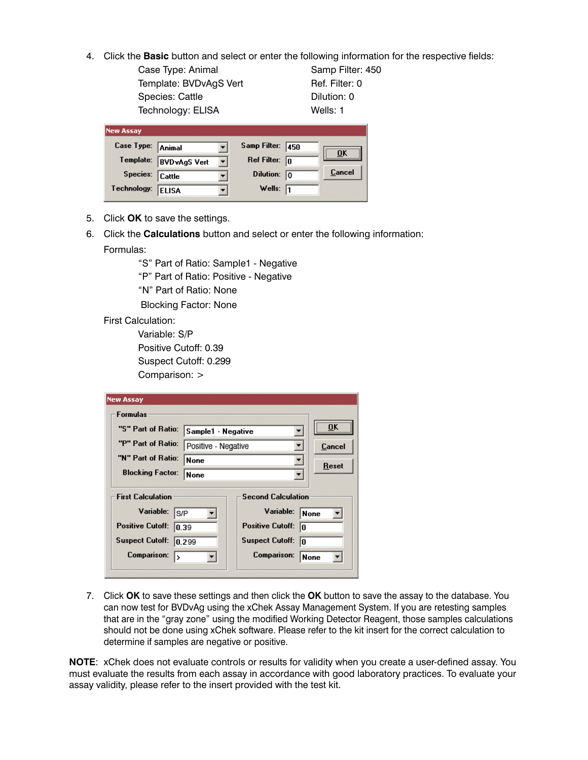- 4. Click the **Basic** button and select or enter the following information for the respective fields:
	- Case Type: Animal Samp Filter: 450 Template: BVDvAgS Vert Ref. Filter: 0 Species: Cattle **Dilution: 0** Technology: ELISA Wells: 1

| <b>New Assay</b>  |                      |                   |      |        |
|-------------------|----------------------|-------------------|------|--------|
| Case Type: Animal |                      | Samp Filter:      | 1450 | OK     |
| Template:         | <b>BVD</b> vAgS Vert | Ref Filter:       | lo   |        |
| Species:          | <b>Cattle</b>        | Dilution: 0       |      | Cancel |
| Technology:       | <b>ELISA</b>         | Wells: $\sqrt{1}$ |      |        |

- 5. Click **OK** to save the settings.
- 6. Click the **Calculations** button and select or enter the following information: Formulas:

"S" Part of Ratio: Sample1 - Negative

"P" Part of Ratio: Positive - Negative

"N" Part of Ratio: None

Blocking Factor: None

First Calculation:

 Variable: S/P Positive Cutoff: 0.39 Suspect Cutoff: 0.299 Comparison: >

| <b>New Assay</b>                                                                                                     |                          |                                                                                                         |             |        |
|----------------------------------------------------------------------------------------------------------------------|--------------------------|---------------------------------------------------------------------------------------------------------|-------------|--------|
| <b>Formulas</b>                                                                                                      |                          |                                                                                                         |             |        |
|                                                                                                                      | "S" Part of Ratio:       | Sample1 - Negative                                                                                      |             | <br>0ĸ |
| "P" Part of Ratio:                                                                                                   |                          | Positive - Negative                                                                                     |             | Cancel |
|                                                                                                                      | "N" Part of Ratio:       |                                                                                                         |             | Reset  |
|                                                                                                                      | <b>Blocking Factor:</b>  |                                                                                                         | <b>None</b> |        |
| <b>First Calculation</b><br>Variable:<br>ls/P<br><b>Positive Cutoff:</b><br>0.39<br><b>Suspect Cutoff:</b><br>10.299 |                          | <b>Second Calculation</b><br>Variable:<br><b>Positive Cutoff:</b><br>lo<br><b>Suspect Cutoff:</b><br>In | None        |        |
|                                                                                                                      | <b>Comparison:</b><br>1> |                                                                                                         | Comparison: | None   |

7. Click **OK** to save these settings and then click the **OK** button to save the assay to the database. You can now test for BVDvAg using the xChek Assay Management System. If you are retesting samples that are in the "gray zone" using the modified Working Detector Reagent, those samples calculations should not be done using xChek software. Please refer to the kit insert for the correct calculation to determine if samples are negative or positive.

**NOTE**: xChek does not evaluate controls or results for validity when you create a user-defined assay. You must evaluate the results from each assay in accordance with good laboratory practices. To evaluate your assay validity, please refer to the insert provided with the test kit.